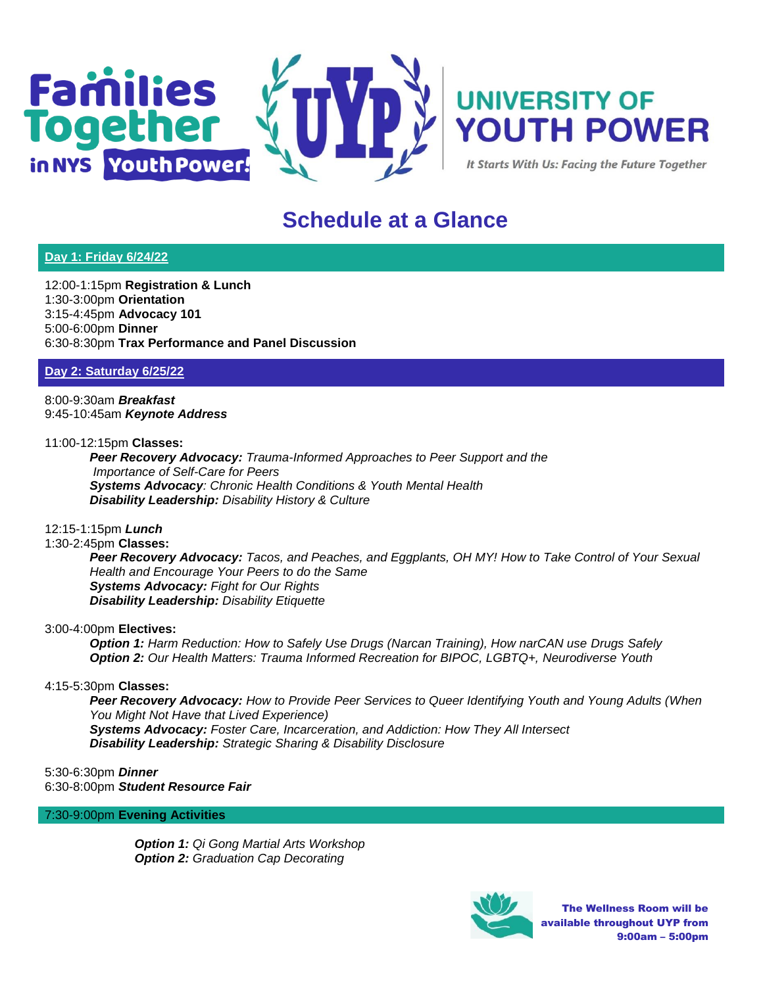



It Starts With Us: Facing the Future Together

# **Schedule at a Glance**

## **Day 1: Friday 6/24/22**

12:00-1:15pm **Registration & Lunch** 1:30-3:00pm **Orientation** 3:15-4:45pm **Advocacy 101** 5:00-6:00pm **Dinner** 6:30-8:30pm **Trax Performance and Panel Discussion**

**Day 2: Saturday 6/25/22**

8:00-9:30am *Breakfast* 9:45-10:45am *Keynote Address*

11:00-12:15pm **Classes:**

*Peer Recovery Advocacy: Trauma-Informed Approaches to Peer Support and the Importance of Self-Care for Peers Systems Advocacy: Chronic Health Conditions & Youth Mental Health Disability Leadership: Disability History & Culture* 

## 12:15-1:15pm *Lunch*

## 1:30-2:45pm **Classes:**

*Peer Recovery Advocacy: Tacos, and Peaches, and Eggplants, OH MY! How to Take Control of Your Sexual Health and Encourage Your Peers to do the Same Systems Advocacy: Fight for Our Rights Disability Leadership: Disability Etiquette* 

## 3:00-4:00pm **Electives:**

*Option 1: Harm Reduction: How to Safely Use Drugs (Narcan Training), How narCAN use Drugs Safely Option 2: Our Health Matters: Trauma Informed Recreation for BIPOC, LGBTQ+, Neurodiverse Youth*

## 4:15-5:30pm **Classes:**

*Peer Recovery Advocacy: How to Provide Peer Services to Queer Identifying Youth and Young Adults (When You Might Not Have that Lived Experience) Systems Advocacy: Foster Care, Incarceration, and Addiction: How They All Intersect Disability Leadership: Strategic Sharing & Disability Disclosure*

5:30-6:30pm *Dinner* 6:30-8:00pm *Student Resource Fair*

7:30-9:00pm **Evening Activities**

*Option 1: Qi Gong Martial Arts Workshop Option 2: Graduation Cap Decorating*



The Wellness Room will be available throughout UYP from 9:00am – 5:00pm